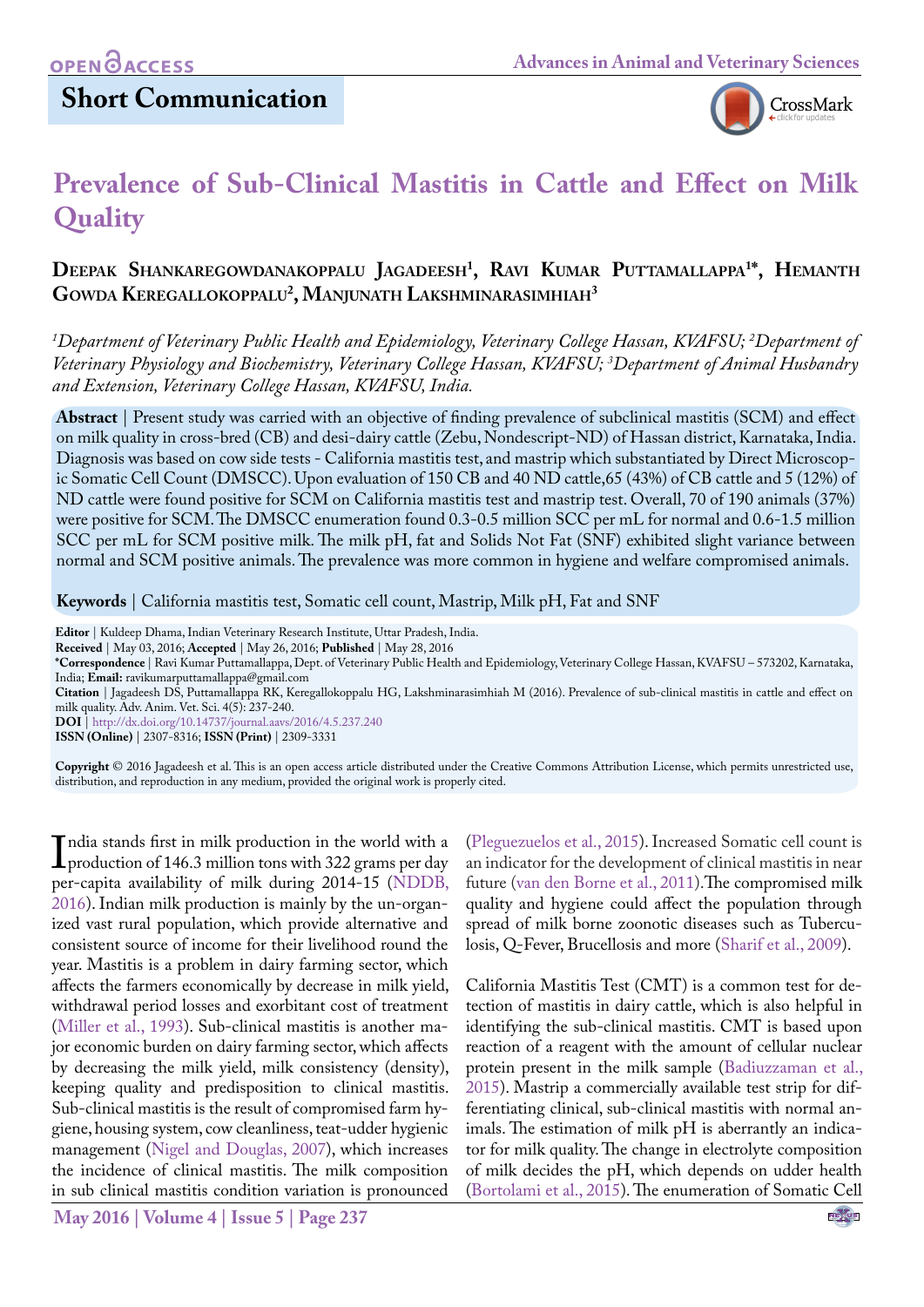# **Short Communication**



# **Prevalence of Sub-Clinical Mastitis in Cattle and Effect on Milk Quality**

## **Deepak Shankaregowdanakoppalu Jagadeesh1 , Ravi Kumar Puttamallappa1 \*, Hemanth Gowda Keregallokoppalu2 , Manjunath Lakshminarasimhiah3**

*1 Department of Veterinary Public Health and Epidemiology, Veterinary College Hassan, KVAFSU; 2 Department of Veterinary Physiology and Biochemistry, Veterinary College Hassan, KVAFSU; 3 Department of Animal Husbandry and Extension, Veterinary College Hassan, KVAFSU, India.*

**Abstract** | Present study was carried with an objective of finding prevalence of subclinical mastitis (SCM) and effect on milk quality in cross-bred (CB) and desi-dairy cattle (Zebu, Nondescript-ND) of Hassan district, Karnataka, India. Diagnosis was based on cow side tests - California mastitis test, and mastrip which substantiated by Direct Microscopic Somatic Cell Count (DMSCC). Upon evaluation of 150 CB and 40 ND cattle,65 (43%) of CB cattle and 5 (12%) of ND cattle were found positive for SCM on California mastitis test and mastrip test. Overall, 70 of 190 animals (37%) were positive for SCM. The DMSCC enumeration found 0.3-0.5 million SCC per mL for normal and 0.6-1.5 million SCC per mL for SCM positive milk. The milk pH, fat and Solids Not Fat (SNF) exhibited slight variance between normal and SCM positive animals. The prevalence was more common in hygiene and welfare compromised animals.

**Keywords** | California mastitis test, Somatic cell count, Mastrip, Milk pH, Fat and SNF

**Received** | May 03, 2016; **Accepted** | May 26, 2016; **Published** | May 28, 2016

**\*Correspondence** | Ravi Kumar Puttamallappa, Dept. of Veterinary Public Health and Epidemiology, Veterinary College Hassan, KVAFSU – 573202, Karnataka, India; **Email:** ravikumarputtamallappa@gmail.com

**Citation** | Jagadeesh DS, Puttamallappa RK, Keregallokoppalu HG, Lakshminarasimhiah M (2016). Prevalence of sub-clinical mastitis in cattle and effect on milk quality. Adv. Anim. Vet. Sci. 4(5): 237-240.

**DOI** | <http://dx.doi.org/10.14737/journal.aavs/2016/4.5.237.240>

**ISSN (Online)** | 2307-8316; **ISSN (Print)** | 2309-3331

**Copyright** © 2016 Jagadeesh et al. This is an open access article distributed under the Creative Commons Attribution License, which permits unrestricted use, distribution, and reproduction in any medium, provided the original work is properly cited.

I ndia stands first in milk production in the world with a<br>production of 146.3 million tons with 322 grams per day<br>per-capita availability of milk during 2014-15 (NDDB. production of 146.3 million tons with 322 grams per day per-capita availability of milk during 2014-15 [\(NDDB,](#page-3-0)  [2016](#page-3-0)). Indian milk production is mainly by the un-organized vast rural population, which provide alternative and consistent source of income for their livelihood round the year. Mastitis is a problem in dairy farming sector, which affects the farmers economically by decrease in milk yield, withdrawal period losses and exorbitant cost of treatment ([Miller et al., 1993](#page-3-1)). Sub-clinical mastitis is another major economic burden on dairy farming sector, which affects by decreasing the milk yield, milk consistency (density), keeping quality and predisposition to clinical mastitis. Sub-clinical mastitis is the result of compromised farm hygiene, housing system, cow cleanliness, teat-udder hygienic management ([Nigel and Douglas, 2007](#page-3-2)), which increases the incidence of clinical mastitis. The milk composition in sub clinical mastitis condition variation is pronounced

**May 2016 | Volume 4 | Issue 5 | Page 237**

([Pleguezuelos et al., 2015\)](#page-3-3). Increased Somatic cell count is an indicator for the development of clinical mastitis in near future ([van den Borne et al., 2011](#page-3-4)).The compromised milk quality and hygiene could affect the population through spread of milk borne zoonotic diseases such as Tuberculosis, Q-Fever, Brucellosis and more [\(Sharif et al., 2009](#page-3-5)).

California Mastitis Test (CMT) is a common test for detection of mastitis in dairy cattle, which is also helpful in identifying the sub-clinical mastitis. CMT is based upon reaction of a reagent with the amount of cellular nuclear protein present in the milk sample ([Badiuzzaman et al.,](#page-2-0)  [2015](#page-2-0)). Mastrip a commercially available test strip for differentiating clinical, sub-clinical mastitis with normal animals. The estimation of milk pH is aberrantly an indicator for milk quality. The change in electrolyte composition of milk decides the pH, which depends on udder health ([Bortolami et al., 2015\)](#page-2-1). The enumeration of Somatic Cell

**Editor** | Kuldeep Dhama, Indian Veterinary Research Institute, Uttar Pradesh, India.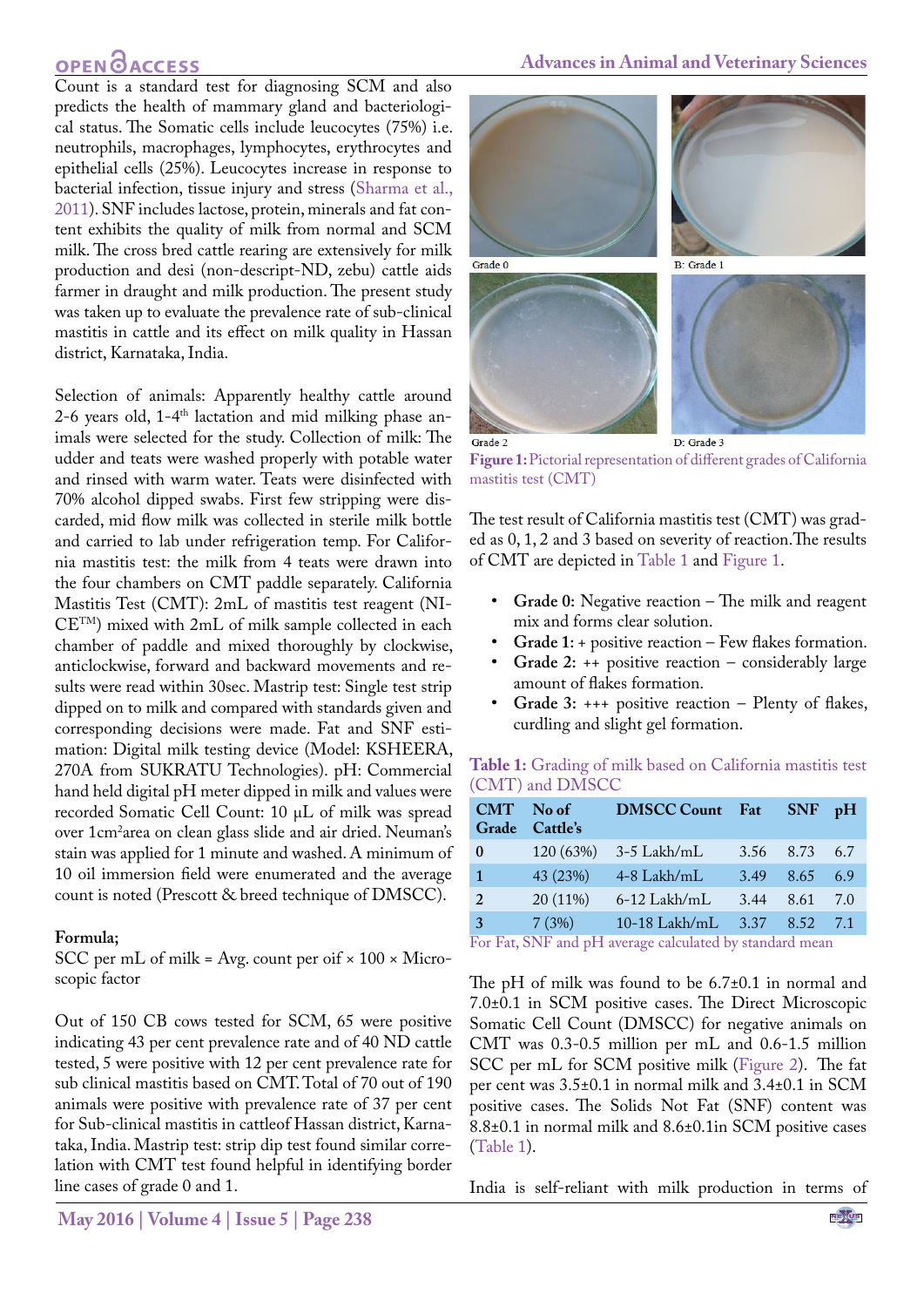# **OPEN GACCESS**

Count is a standard test for diagnosing SCM and also predicts the health of mammary gland and bacteriological status. The Somatic cells include leucocytes (75%) i.e. neutrophils, macrophages, lymphocytes, erythrocytes and epithelial cells (25%). Leucocytes increase in response to bacterial infection, tissue injury and stress [\(Sharma et al.,](#page-3-6) [2011](#page-3-6)). SNF includes lactose, protein, minerals and fat content exhibits the quality of milk from normal and SCM milk. The cross bred cattle rearing are extensively for milk production and desi (non-descript-ND, zebu) cattle aids farmer in draught and milk production. The present study was taken up to evaluate the prevalence rate of sub-clinical mastitis in cattle and its effect on milk quality in Hassan district, Karnataka, India.

Selection of animals: Apparently healthy cattle around 2-6 years old, 1-4th lactation and mid milking phase animals were selected for the study. Collection of milk: The udder and teats were washed properly with potable water and rinsed with warm water. Teats were disinfected with 70% alcohol dipped swabs. First few stripping were discarded, mid flow milk was collected in sterile milk bottle and carried to lab under refrigeration temp. For California mastitis test: the milk from 4 teats were drawn into the four chambers on CMT paddle separately. California Mastitis Test (CMT): 2mL of mastitis test reagent (NI-CETM) mixed with 2mL of milk sample collected in each chamber of paddle and mixed thoroughly by clockwise, anticlockwise, forward and backward movements and results were read within 30sec. Mastrip test: Single test strip dipped on to milk and compared with standards given and corresponding decisions were made. Fat and SNF estimation: Digital milk testing device (Model: KSHEERA, 270A from SUKRATU Technologies). pH: Commercial hand held digital pH meter dipped in milk and values were recorded Somatic Cell Count: 10 µL of milk was spread over 1cm2 area on clean glass slide and air dried. Neuman's stain was applied for 1 minute and washed. A minimum of 10 oil immersion field were enumerated and the average count is noted (Prescott & breed technique of DMSCC).

#### **Formula;**

SCC per mL of milk = Avg. count per oif  $\times$  100  $\times$  Microscopic factor

Out of 150 CB cows tested for SCM, 65 were positive indicating 43 per cent prevalence rate and of 40 ND cattle tested, 5 were positive with 12 per cent prevalence rate for sub clinical mastitis based on CMT. Total of 70 out of 190 animals were positive with prevalence rate of 37 per cent for Sub-clinical mastitis in cattleof Hassan district, Karnataka, India. Mastrip test: strip dip test found similar correlation with CMT test found helpful in identifying border line cases of grade 0 and 1.

#### **Advances in Animal and Veterinary Sciences**



**Figure 1:** Pictorial representation of different grades of California mastitis test (CMT)

<span id="page-1-1"></span>The test result of California mastitis test (CMT) was graded as 0, 1, 2 and 3 based on severity of reaction.The results of CMT are depicted in [Table 1](#page-1-0) and [Figure 1.](#page-1-1)

- **• Grade 0:** Negative reaction The milk and reagent mix and forms clear solution.
- **• Grade 1:** + positive reaction Few flakes formation.
- **• Grade 2:** ++ positive reaction considerably large amount of flakes formation.
- Grade 3: +++ positive reaction Plenty of flakes, curdling and slight gel formation.

<span id="page-1-0"></span>**Table 1:** Grading of milk based on California mastitis test (CMT) and DMSCC

| <b>CMT</b><br>Grade | No of<br>Cattle's | <b>DMSCC Count Fat</b> |      | $SNF$ pH  |     |
|---------------------|-------------------|------------------------|------|-----------|-----|
| $\bf{0}$            | 120 (63%)         | 3-5 Lakh/mL            |      | 3.56 8.73 | 6.7 |
| $\mathbf{1}$        | 43 (23%)          | $4-8$ Lakh/mL          | 3.49 | 8.65      | 6.9 |
| $\overline{2}$      | 20 (11%)          | $6-12$ Lakh/mL         | 3.44 | 8.61      | 7.0 |
| 3                   | 7(3%)             | $10-18$ Lakh/mL        | 3.37 | 8.52      | 7.1 |

For Fat, SNF and pH average calculated by standard mean

The pH of milk was found to be 6.7±0.1 in normal and 7.0±0.1 in SCM positive cases. The Direct Microscopic Somatic Cell Count (DMSCC) for negative animals on CMT was 0.3-0.5 million per mL and 0.6-1.5 million SCC per mL for SCM positive milk [\(Figure 2](#page-2-2)). The fat per cent was 3.5±0.1 in normal milk and 3.4±0.1 in SCM positive cases. The Solids Not Fat (SNF) content was 8.8±0.1 in normal milk and 8.6±0.1in SCM positive cases [\(Table 1](#page-1-0)).

India is self-reliant with milk production in terms of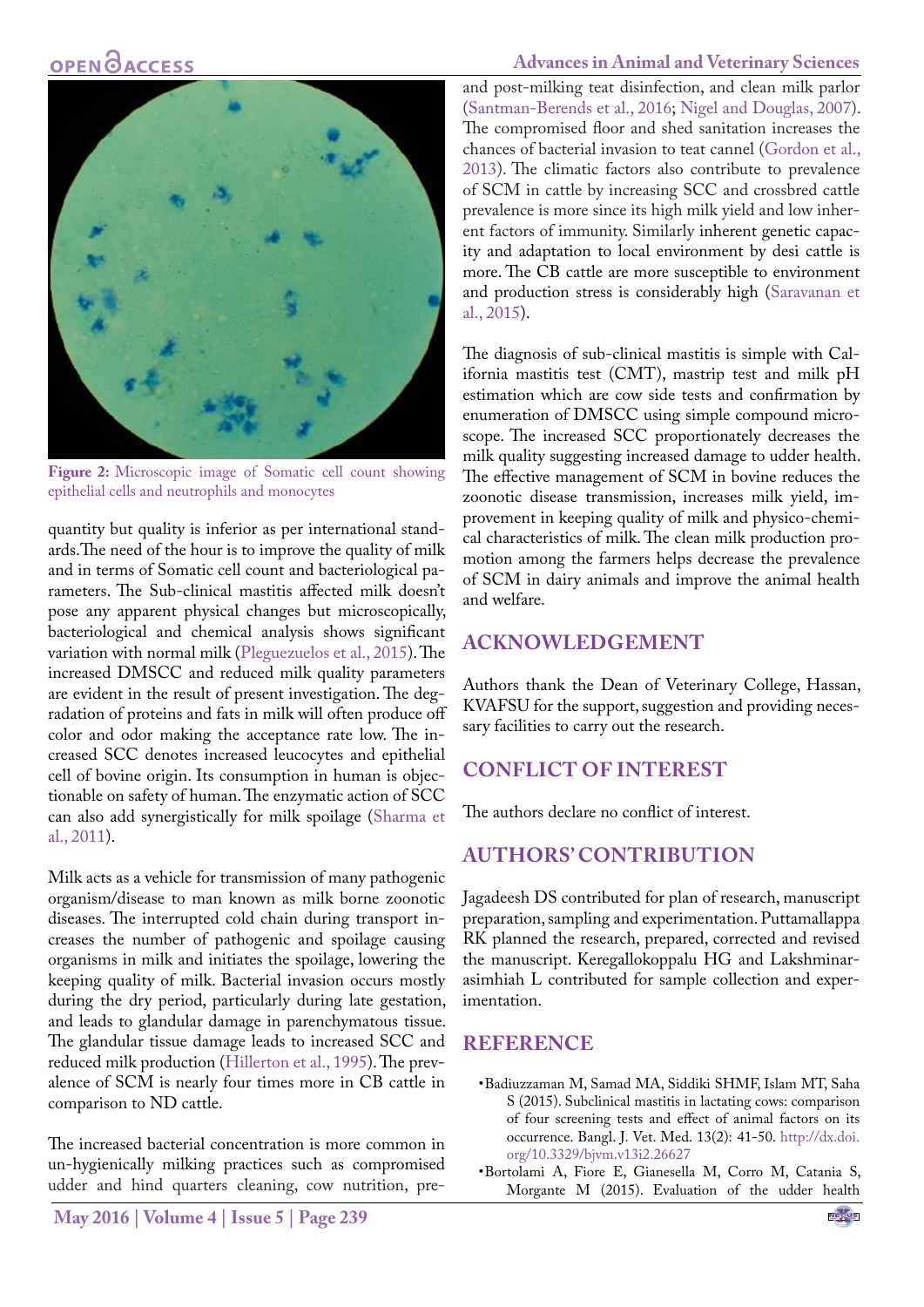



**Figure 2:** Microscopic image of Somatic cell count showing epithelial cells and neutrophils and monocytes

<span id="page-2-2"></span>quantity but quality is inferior as per international standards.The need of the hour is to improve the quality of milk and in terms of Somatic cell count and bacteriological parameters. The Sub-clinical mastitis affected milk doesn't pose any apparent physical changes but microscopically, bacteriological and chemical analysis shows significant variation with normal milk [\(Pleguezuelos et al., 2015\)](#page-3-3). The increased DMSCC and reduced milk quality parameters are evident in the result of present investigation. The degradation of proteins and fats in milk will often produce off color and odor making the acceptance rate low. The increased SCC denotes increased leucocytes and epithelial cell of bovine origin. Its consumption in human is objectionable on safety of human. The enzymatic action of SCC can also add synergistically for milk spoilage ([Sharma et](#page-3-6)  [al., 2011](#page-3-6)).

Milk acts as a vehicle for transmission of many pathogenic organism/disease to man known as milk borne zoonotic diseases. The interrupted cold chain during transport increases the number of pathogenic and spoilage causing organisms in milk and initiates the spoilage, lowering the keeping quality of milk. Bacterial invasion occurs mostly during the dry period, particularly during late gestation, and leads to glandular damage in parenchymatous tissue. The glandular tissue damage leads to increased SCC and reduced milk production [\(Hillerton et al., 1995\)](#page-3-7). The prevalence of SCM is nearly four times more in CB cattle in comparison to ND cattle.

The increased bacterial concentration is more common in un-hygienically milking practices such as compromised udder and hind quarters cleaning, cow nutrition, preand post-milking teat disinfection, and clean milk parlor ([Santman-Berends et al., 2016;](#page-3-8) [Nigel and Douglas, 2007\)](#page-3-2). The compromised floor and shed sanitation increases the chances of bacterial invasion to teat cannel ([Gordon et al.,](#page-3-9) [2013](#page-3-9)). The climatic factors also contribute to prevalence of SCM in cattle by increasing SCC and crossbred cattle prevalence is more since its high milk yield and low inherent factors of immunity. Similarly inherent genetic capacity and adaptation to local environment by desi cattle is more. The CB cattle are more susceptible to environment and production stress is considerably high ([Saravanan et](#page-3-10) [al., 2015](#page-3-10)).

The diagnosis of sub-clinical mastitis is simple with California mastitis test (CMT), mastrip test and milk pH estimation which are cow side tests and confirmation by enumeration of DMSCC using simple compound microscope. The increased SCC proportionately decreases the milk quality suggesting increased damage to udder health. The effective management of SCM in bovine reduces the zoonotic disease transmission, increases milk yield, improvement in keeping quality of milk and physico-chemical characteristics of milk. The clean milk production promotion among the farmers helps decrease the prevalence of SCM in dairy animals and improve the animal health and welfare.

#### **ACKNOWLEDGEMENT**

Authors thank the Dean of Veterinary College, Hassan, KVAFSU for the support, suggestion and providing necessary facilities to carry out the research.

### **CONFLICT OF INTEREST**

The authors declare no conflict of interest.

### **AUTHORS' CONTRIBUTION**

Jagadeesh DS contributed for plan of research, manuscript preparation, sampling and experimentation. Puttamallappa RK planned the research, prepared, corrected and revised the manuscript. Keregallokoppalu HG and Lakshminarasimhiah L contributed for sample collection and experimentation.

#### **REFERENCE**

- <span id="page-2-0"></span>•Badiuzzaman M, Samad MA, Siddiki SHMF, Islam MT, Saha S (2015). Subclinical mastitis in lactating cows: comparison of four screening tests and effect of animal factors on its occurrence. Bangl. J. Vet. Med. 13(2): 41-50. [http://dx.doi.](http://dx.doi.org/10.3329/bjvm.v13i2.26627) [org/10.3329/bjvm.v13i2.26627](http://dx.doi.org/10.3329/bjvm.v13i2.26627)
- <span id="page-2-1"></span>•Bortolami A, Fiore E, Gianesella M, Corro M, Catania S, Morgante M (2015). Evaluation of the udder health